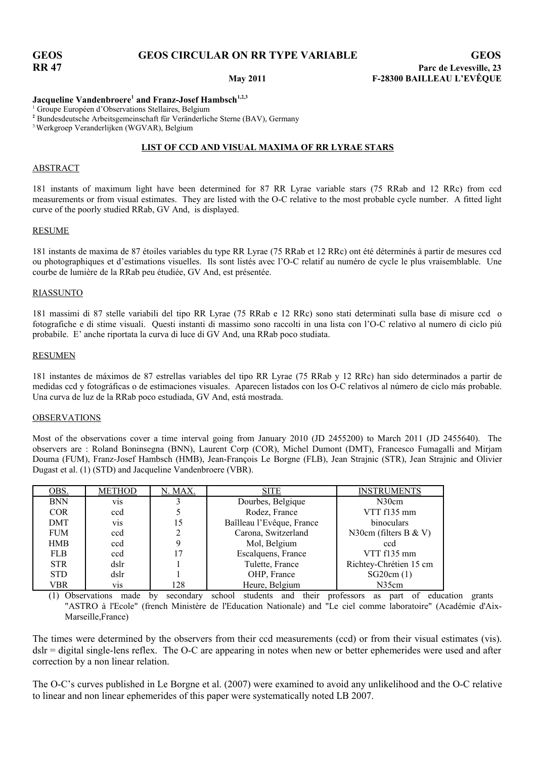## **GEOS GEOS CIRCULAR ON RR TYPE VARIABLE GEOS**

**RR 47 Parc de Levesville, 23 May 2011 F-28300 BAILLEAU L'EVÊQUE**

### **Jacqueline Vandenbroere<sup>1</sup> and Franz-Josef Hambsch1,2,3**

<sup>1</sup> Groupe Européen d'Observations Stellaires, Belgium

**<sup>2</sup>** Bundesdeutsche Arbeitsgemeinschaft für Veränderliche Sterne (BAV), Germany

3.Werkgroep Veranderlijken (WGVAR), Belgium

## **LIST OF CCD AND VISUAL MAXIMA OF RR LYRAE STARS**

### **ABSTRACT**

181 instants of maximum light have been determined for 87 RR Lyrae variable stars (75 RRab and 12 RRc) from ccd measurements or from visual estimates. They are listed with the O-C relative to the most probable cycle number. A fitted light curve of the poorly studied RRab, GV And, is displayed.

### **RESUME**

181 instants de maxima de 87 étoiles variables du type RR Lyrae (75 RRab et 12 RRc) ont été déterminés à partir de mesures ccd ou photographiques et d'estimations visuelles. Ils sont listés avec l'O-C relatif au numéro de cycle le plus vraisemblable. Une courbe de lumière de la RRab peu étudiée, GV And, est présentée.

### RIASSUNTO

181 massimi di 87 stelle variabili del tipo RR Lyrae (75 RRab e 12 RRc) sono stati determinati sulla base di misure ccd o fotografiche e di stime visuali. Questi instanti di massimo sono raccolti in una lista con l'O-C relativo al numero di ciclo piú probabile. E' anche riportata la curva di luce di GV And, una RRab poco studiata.

### RESUMEN

181 instantes de máximos de 87 estrellas variables del tipo RR Lyrae (75 RRab y 12 RRc) han sido determinados a partir de medidas ccd y fotográficas o de estimaciones visuales. Aparecen listados con los O-C relativos al número de ciclo más probable. Una curva de luz de la RRab poco estudiada, GV And, está mostrada.

### **OBSERVATIONS**

Most of the observations cover a time interval going from January 2010 (JD 2455200) to March 2011 (JD 2455640). The observers are : Roland Boninsegna (BNN), Laurent Corp (COR), Michel Dumont (DMT), Francesco Fumagalli and Mirjam Douma (FUM), Franz-Josef Hambsch (HMB), Jean-François Le Borgne (FLB), Jean Strajnic (STR), Jean Strajnic and Olivier Dugast et al. (1) (STD) and Jacqueline Vandenbroere (VBR).

| OBS.       | <b>METHOD</b>    | N. MAX. | <b>SITE</b>               | <b>INSTRUMENTS</b>      |
|------------|------------------|---------|---------------------------|-------------------------|
| <b>BNN</b> | V <sub>1</sub> S |         | Dourbes, Belgique         | N30cm                   |
| <b>COR</b> | ccd              |         | Rodez, France             | VTT f135 mm             |
| DMT        | <b>VIS</b>       | 15      | Baîlleau l'Evêque, France | binoculars              |
| <b>FUM</b> | ccd              |         | Carona, Switzerland       | N30cm (filters B $&V$ ) |
| <b>HMB</b> | ccd              | 9       | Mol, Belgium              | ccd                     |
| <b>FLB</b> | ccd              | 17      | Escalquens, France        | VTT f135 mm             |
| <b>STR</b> | dslr             |         | Tulette, France           | Richtey-Chrétien 15 cm  |
| <b>STD</b> | dslr             |         | OHP, France               | SG20cm(1)               |
| VBR        | <b>VIS</b>       | 128     | Heure, Belgium            | N35cm                   |

(1) Observations made by secondary school students and their professors as part of education grants "ASTRO à l'Ecole" (french Ministère de l'Education Nationale) and "Le ciel comme laboratoire" (Académie d'Aix-Marseille,France)

The times were determined by the observers from their ccd measurements (ccd) or from their visual estimates (vis). dslr = digital single-lens reflex. The O-C are appearing in notes when new or better ephemerides were used and after correction by a non linear relation.

The O-C's curves published in Le Borgne et al. (2007) were examined to avoid any unlikelihood and the O-C relative to linear and non linear ephemerides of this paper were systematically noted LB 2007.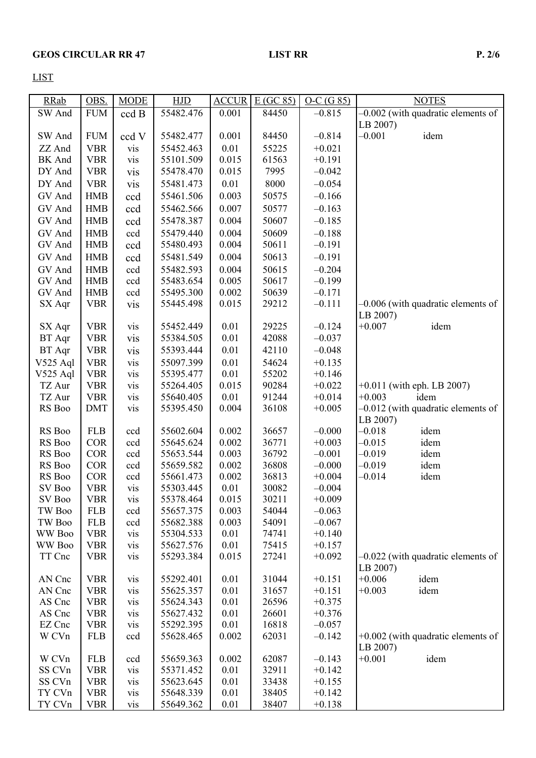LIST

| <b>RRab</b>      | OBS.                     | <b>MODE</b> | HJD                    | <b>ACCUR</b> | E(GC 85)       | $O-C(G 85)$          | <b>NOTES</b>                         |
|------------------|--------------------------|-------------|------------------------|--------------|----------------|----------------------|--------------------------------------|
| SW And           | <b>FUM</b>               | ccd B       | 55482.476              | 0.001        | 84450          | $-0.815$             | $-0.002$ (with quadratic elements of |
|                  |                          |             |                        |              |                |                      | LB 2007)                             |
| SW And           | <b>FUM</b>               | ccd V       | 55482.477              | 0.001        | 84450          | $-0.814$             | $-0.001$<br>idem                     |
| ZZ And           | <b>VBR</b>               | vis         | 55452.463              | 0.01         | 55225          | $+0.021$             |                                      |
| BK And           | <b>VBR</b>               | vis         | 55101.509              | 0.015        | 61563          | $+0.191$             |                                      |
| DY And           | <b>VBR</b>               | vis         | 55478.470              | 0.015        | 7995           | $-0.042$             |                                      |
| DY And           | <b>VBR</b>               | vis         | 55481.473              | 0.01         | 8000           | $-0.054$             |                                      |
| GV And           | <b>HMB</b>               | ccd         | 55461.506              | 0.003        | 50575          | $-0.166$             |                                      |
| GV And           | <b>HMB</b>               | ccd         | 55462.566              | 0.007        | 50577          | $-0.163$             |                                      |
| GV And           | <b>HMB</b>               | ccd         | 55478.387              | 0.004        | 50607          | $-0.185$             |                                      |
| GV And           | <b>HMB</b>               | ccd         | 55479.440              | 0.004        | 50609          | $-0.188$             |                                      |
| GV And           | <b>HMB</b>               | ccd         | 55480.493              | 0.004        | 50611          | $-0.191$             |                                      |
| GV And           | <b>HMB</b>               | ccd         | 55481.549              | 0.004        | 50613          | $-0.191$             |                                      |
| GV And           | <b>HMB</b>               | ccd         | 55482.593              | 0.004        | 50615          | $-0.204$             |                                      |
| GV And           | <b>HMB</b>               | ccd         | 55483.654              | 0.005        | 50617          | $-0.199$             |                                      |
| GV And           | <b>HMB</b>               | ccd         | 55495.300              | 0.002        | 50639          | $-0.171$             |                                      |
| SX Aqr           | <b>VBR</b>               | vis         | 55445.498              | 0.015        | 29212          | $-0.111$             | $-0.006$ (with quadratic elements of |
|                  |                          |             |                        |              |                |                      | LB 2007)                             |
| SX Aqr           | <b>VBR</b>               | vis         | 55452.449              | 0.01         | 29225          | $-0.124$             | $+0.007$<br>idem                     |
| <b>BT</b> Aqr    | <b>VBR</b>               | vis         | 55384.505              | 0.01         | 42088          | $-0.037$             |                                      |
| <b>BT</b> Aqr    | <b>VBR</b>               | vis         | 55393.444              | 0.01         | 42110          | $-0.048$             |                                      |
| V525 Aql         | <b>VBR</b>               | vis         | 55097.399              | 0.01         | 54624          | $+0.135$             |                                      |
| V525 Aql         | <b>VBR</b>               | vis         | 55395.477              | 0.01         | 55202          | $+0.146$             |                                      |
| TZ Aur           | <b>VBR</b>               | vis         | 55264.405              | 0.015        | 90284          | $+0.022$             | $+0.011$ (with eph. LB 2007)         |
| <b>TZ</b> Aur    | <b>VBR</b>               | vis         | 55640.405              | 0.01         | 91244          | $+0.014$             | $+0.003$<br>idem                     |
| RS Boo           | <b>DMT</b>               | vis         | 55395.450              | 0.004        | 36108          | $+0.005$             | $-0.012$ (with quadratic elements of |
|                  |                          |             |                        |              |                |                      | LB 2007)                             |
| RS Boo           | <b>FLB</b>               | ccd         | 55602.604              | 0.002        | 36657          | $-0.000$             | $-0.018$<br>idem                     |
| RS Boo           | <b>COR</b>               | ccd         | 55645.624              | 0.002        | 36771          | $+0.003$             | $-0.015$<br>idem                     |
| RS Boo           | <b>COR</b>               | ccd         | 55653.544              | 0.003        | 36792          | $-0.001$             | $-0.019$<br>idem                     |
| RS Boo           | <b>COR</b>               | ccd         | 55659.582              | 0.002        | 36808          | $-0.000$             | $-0.019$<br>idem                     |
| RS Boo           | <b>COR</b>               | ccd         | 55661.473              | 0.002        | 36813          | $+0.004$             | $-0.014$<br>idem                     |
| SV Boo           | <b>VBR</b>               | vis         | 55303.445              | 0.01         | 30082          | $-0.004$             |                                      |
| SV Boo           | <b>VBR</b>               | vis         | 55378.464              | 0.015        | 30211          | $+0.009$             |                                      |
| TW Boo           | <b>FLB</b>               | ccd         | 55657.375              | 0.003        | 54044          | $-0.063$             |                                      |
| TW Boo           | <b>FLB</b>               | ccd         | 55682.388              | 0.003        | 54091          | $-0.067$             |                                      |
| WW Boo           | <b>VBR</b>               | vis         | 55304.533              | 0.01         | 74741          | $+0.140$             |                                      |
| WW Boo           | <b>VBR</b>               | vis         | 55627.576              | 0.01         | 75415          | $+0.157$             |                                      |
| TT Cnc           | <b>VBR</b>               | vis         | 55293.384              | 0.015        | 27241          | $+0.092$             | $-0.022$ (with quadratic elements of |
|                  |                          |             |                        |              |                |                      | LB 2007)                             |
| AN Cnc           | <b>VBR</b>               | vis         | 55292.401              | 0.01         | 31044          | $+0.151$             | $+0.006$<br>idem                     |
| AN Cnc           | <b>VBR</b>               | vis         | 55625.357              | 0.01         | 31657          | $+0.151$             | idem<br>$+0.003$                     |
| AS Cnc           | <b>VBR</b>               | vis         | 55624.343              | 0.01         | 26596          | $+0.375$             |                                      |
| AS Cnc<br>EZ Cnc | <b>VBR</b><br><b>VBR</b> | vis<br>vis  | 55627.432<br>55292.395 | 0.01<br>0.01 | 26601<br>16818 | $+0.376$<br>$-0.057$ |                                      |
| W CVn            | <b>FLB</b>               | ccd         | 55628.465              | 0.002        | 62031          | $-0.142$             | $+0.002$ (with quadratic elements of |
|                  |                          |             |                        |              |                |                      | LB 2007)                             |
| W CVn            | <b>FLB</b>               | ccd         | 55659.363              | 0.002        | 62087          | $-0.143$             | idem<br>$+0.001$                     |
| SS CVn           | <b>VBR</b>               | vis         | 55371.452              | 0.01         | 32911          | $+0.142$             |                                      |
| SS CVn           | <b>VBR</b>               | vis         | 55623.645              | 0.01         | 33438          | $+0.155$             |                                      |
| TY CVn           | <b>VBR</b>               | vis         | 55648.339              | 0.01         | 38405          | $+0.142$             |                                      |
| TY CVn           | <b>VBR</b>               | vis         | 55649.362              | 0.01         | 38407          | $+0.138$             |                                      |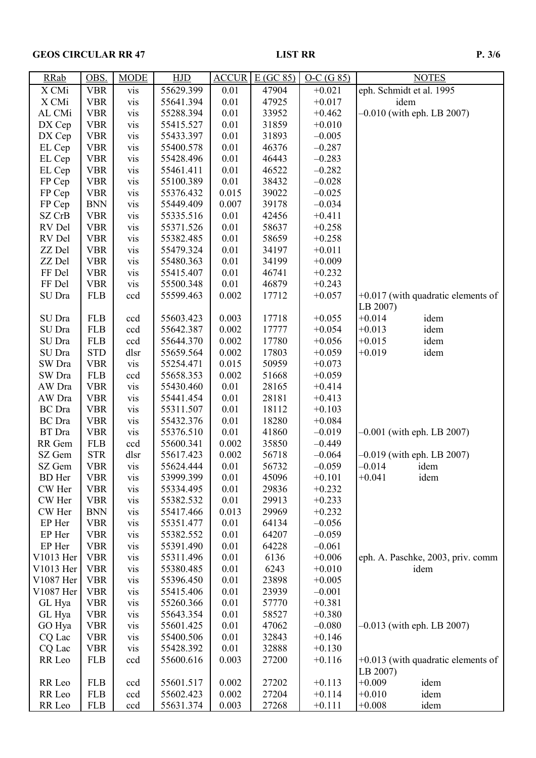# GEOS CIRCULAR RR 47 LIST RR P. 3/6

| <b>RRab</b>   | OBS.       | <b>MODE</b> | <b>HJD</b> | <b>ACCUR</b> | E(GC 85) | $O-C(G 85)$ | <b>NOTES</b>                         |
|---------------|------------|-------------|------------|--------------|----------|-------------|--------------------------------------|
| X CMi         | <b>VBR</b> | vis         | 55629.399  | 0.01         | 47904    | $+0.021$    | eph. Schmidt et al. 1995             |
| X CMi         | <b>VBR</b> | vis         | 55641.394  | 0.01         | 47925    | $+0.017$    | idem                                 |
| AL CMi        | <b>VBR</b> | vis         | 55288.394  | 0.01         | 33952    | $+0.462$    | $-0.010$ (with eph. LB 2007)         |
| DX Cep        | <b>VBR</b> | vis         | 55415.527  | 0.01         | 31859    | $+0.010$    |                                      |
| DX Cep        | <b>VBR</b> | vis         | 55433.397  | 0.01         | 31893    | $-0.005$    |                                      |
| EL Cep        | <b>VBR</b> | vis         | 55400.578  | 0.01         | 46376    | $-0.287$    |                                      |
| EL Cep        | <b>VBR</b> | vis         | 55428.496  | 0.01         | 46443    | $-0.283$    |                                      |
| EL Cep        | <b>VBR</b> | vis         | 55461.411  | 0.01         | 46522    | $-0.282$    |                                      |
| FP Cep        | <b>VBR</b> | vis         | 55100.389  | 0.01         | 38432    | $-0.028$    |                                      |
| FP Cep        | <b>VBR</b> | vis         | 55376.432  | 0.015        | 39022    | $-0.025$    |                                      |
| FP Cep        | <b>BNN</b> | vis         | 55449.409  | 0.007        | 39178    | $-0.034$    |                                      |
| SZ CrB        | <b>VBR</b> | vis         | 55335.516  | 0.01         | 42456    | $+0.411$    |                                      |
| RV Del        | <b>VBR</b> | vis         | 55371.526  | 0.01         | 58637    | $+0.258$    |                                      |
| RV Del        | <b>VBR</b> | vis         | 55382.485  | 0.01         | 58659    | $+0.258$    |                                      |
| ZZ Del        | <b>VBR</b> | vis         | 55479.324  | 0.01         | 34197    | $+0.011$    |                                      |
| ZZ Del        | <b>VBR</b> | vis         | 55480.363  | 0.01         | 34199    | $+0.009$    |                                      |
| FF Del        | <b>VBR</b> | vis         | 55415.407  | 0.01         | 46741    | $+0.232$    |                                      |
| FF Del        | <b>VBR</b> | vis         | 55500.348  | 0.01         | 46879    | $+0.243$    |                                      |
| SU Dra        | <b>FLB</b> | ccd         | 55599.463  | 0.002        | 17712    | $+0.057$    | $+0.017$ (with quadratic elements of |
|               |            |             |            |              |          |             | LB 2007)                             |
| SU Dra        | <b>FLB</b> | ccd         | 55603.423  | 0.003        | 17718    | $+0.055$    | $+0.014$<br>idem                     |
| SU Dra        | <b>FLB</b> | ccd         | 55642.387  | 0.002        | 17777    | $+0.054$    | $+0.013$<br>idem                     |
| SU Dra        | <b>FLB</b> | ccd         | 55644.370  | 0.002        | 17780    | $+0.056$    | $+0.015$<br>idem                     |
| SU Dra        | <b>STD</b> | dlsr        | 55659.564  | 0.002        | 17803    | $+0.059$    | $+0.019$<br>idem                     |
| SW Dra        | <b>VBR</b> | vis         | 55254.471  | 0.015        | 50959    | $+0.073$    |                                      |
| SW Dra        | <b>FLB</b> | ccd         | 55658.353  | 0.002        | 51668    | $+0.059$    |                                      |
| AW Dra        | <b>VBR</b> | vis         | 55430.460  | 0.01         | 28165    | $+0.414$    |                                      |
| AW Dra        | <b>VBR</b> | vis         | 55441.454  | 0.01         | 28181    | $+0.413$    |                                      |
| <b>BC</b> Dra | <b>VBR</b> | vis         | 55311.507  | 0.01         | 18112    | $+0.103$    |                                      |
| <b>BC</b> Dra | <b>VBR</b> | vis         | 55432.376  | 0.01         | 18280    | $+0.084$    |                                      |
| BT Dra        | <b>VBR</b> | vis         | 55376.510  | 0.01         | 41860    | $-0.019$    | $-0.001$ (with eph. LB 2007)         |
| RR Gem        | <b>FLB</b> | ccd         | 55600.341  | 0.002        | 35850    | $-0.449$    |                                      |
| SZ Gem        | <b>STR</b> | dlsr        | 55617.423  | 0.002        | 56718    | $-0.064$    | $-0.019$ (with eph. LB 2007)         |
| SZ Gem        | <b>VBR</b> | vis         | 55624.444  | 0.01         | 56732    | $-0.059$    | $-0.014$<br>idem                     |
| <b>BD</b> Her | <b>VBR</b> | vis         | 53999.399  | 0.01         | 45096    | $+0.101$    | $+0.041$<br>idem                     |
| CW Her        | <b>VBR</b> | vis         | 55334.495  | 0.01         | 29836    | $+0.232$    |                                      |
| CW Her        | <b>VBR</b> | vis         | 55382.532  | 0.01         | 29913    | $+0.233$    |                                      |
| CW Her        | <b>BNN</b> | vis         | 55417.466  | 0.013        | 29969    | $+0.232$    |                                      |
| EP Her        | <b>VBR</b> | vis         | 55351.477  | 0.01         | 64134    | $-0.056$    |                                      |
| EP Her        | <b>VBR</b> | vis         | 55382.552  | 0.01         | 64207    | $-0.059$    |                                      |
| EP Her        | <b>VBR</b> | vis         | 55391.490  | 0.01         | 64228    | $-0.061$    |                                      |
| V1013 Her     | <b>VBR</b> | vis         | 55311.496  | 0.01         | 6136     | $+0.006$    | eph. A. Paschke, 2003, priv. comm    |
| V1013 Her     | <b>VBR</b> | vis         | 55380.485  | 0.01         | 6243     | $+0.010$    | idem                                 |
| V1087 Her     | <b>VBR</b> | vis         | 55396.450  | 0.01         | 23898    | $+0.005$    |                                      |
| V1087 Her     | <b>VBR</b> | vis         | 55415.406  | 0.01         | 23939    | $-0.001$    |                                      |
| GL Hya        | <b>VBR</b> | vis         | 55260.366  | 0.01         | 57770    | $+0.381$    |                                      |
| GL Hya        | <b>VBR</b> | vis         | 55643.354  | 0.01         | 58527    | $+0.380$    |                                      |
| GO Hya        | <b>VBR</b> | vis         | 55601.425  | 0.01         | 47062    | $-0.080$    | $-0.013$ (with eph. LB 2007)         |
| CQ Lac        | <b>VBR</b> | vis         | 55400.506  | 0.01         | 32843    | $+0.146$    |                                      |
| CQ Lac        | <b>VBR</b> | vis         | 55428.392  | 0.01         | 32888    | $+0.130$    |                                      |
| RR Leo        | <b>FLB</b> | ccd         | 55600.616  | 0.003        | 27200    | $+0.116$    | $+0.013$ (with quadratic elements of |
|               |            |             |            |              |          |             | LB 2007)                             |
| RR Leo        | <b>FLB</b> | ccd         | 55601.517  | 0.002        | 27202    | $+0.113$    | $+0.009$<br>idem                     |
| RR Leo        | <b>FLB</b> | ccd         | 55602.423  | 0.002        | 27204    | $+0.114$    | $+0.010$<br>idem                     |
| RR Leo        | <b>FLB</b> | ccd         | 55631.374  | 0.003        | 27268    | $+0.111$    | $+0.008$<br>idem                     |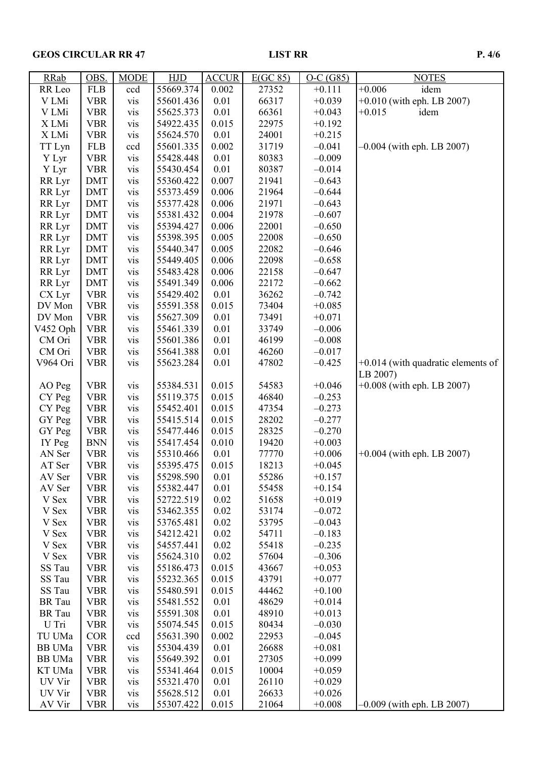# GEOS CIRCULAR RR 47 LIST RR P. 4/6

| $+0.006$<br>55669.374<br>idem<br>RR Leo<br><b>FLB</b><br>ccd<br>0.002<br>27352<br>$+0.111$<br><b>VBR</b><br>55601.436<br>0.01<br>66317<br>$+0.039$<br>$+0.010$ (with eph. LB 2007)<br>V LMi<br>vis<br><b>VBR</b><br>55625.373<br>0.01<br>66361<br>$+0.015$<br>idem<br>V LMi<br>$+0.043$<br>vis<br><b>VBR</b><br>0.015<br>22975<br>X LMi<br>54922.435<br>$+0.192$<br>vis<br><b>VBR</b><br>0.01<br>24001<br>X LMi<br>55624.570<br>$+0.215$<br>vis<br><b>FLB</b><br>55601.335<br>0.002<br>31719<br>$-0.041$<br>$-0.004$ (with eph. LB 2007)<br>TT Lyn<br>ccd<br><b>VBR</b><br>55428.448<br>0.01<br>80383<br>$-0.009$<br>Y Lyr<br>vis<br><b>VBR</b><br>0.01<br>80387<br>Y Lyr<br>55430.454<br>$-0.014$<br>vis<br>0.007<br>21941<br>RR Lyr<br><b>DMT</b><br>55360.422<br>$-0.643$<br>vis<br>0.006<br>21964<br>RR Lyr<br><b>DMT</b><br>55373.459<br>$-0.644$<br>vis<br><b>DMT</b><br>55377.428<br>0.006<br>RR Lyr<br>21971<br>$-0.643$<br>vis<br><b>DMT</b><br>0.004<br>21978<br>$-0.607$<br>RR Lyr<br>55381.432<br>vis<br><b>DMT</b><br>0.006<br>22001<br>$-0.650$<br>RR Lyr<br>55394.427<br>vis<br><b>DMT</b><br>0.005<br>22008<br>55398.395<br>$-0.650$<br>RR Lyr<br>vis<br><b>DMT</b><br>0.005<br>22082<br>RR Lyr<br>55440.347<br>$-0.646$<br>vis<br><b>DMT</b><br>0.006<br>22098<br>RR Lyr<br>55449.405<br>$-0.658$<br>vis<br>0.006<br>RR Lyr<br><b>DMT</b><br>55483.428<br>22158<br>$-0.647$<br>vis<br><b>DMT</b><br>0.006<br>RR Lyr<br>55491.349<br>22172<br>$-0.662$<br>vis<br><b>VBR</b><br>55429.402<br>0.01<br>36262<br>CX Lyr<br>$-0.742$<br>vis<br><b>VBR</b><br>73404<br>DV Mon<br>55591.358<br>0.015<br>$+0.085$<br>vis<br>DV Mon<br><b>VBR</b><br>55627.309<br>0.01<br>73491<br>$+0.071$<br>vis<br>V452 Oph<br><b>VBR</b><br>55461.339<br>0.01<br>33749<br>$-0.006$<br>vis<br>CM Ori<br><b>VBR</b><br>0.01<br>46199<br>55601.386<br>$-0.008$<br>vis<br><b>VBR</b><br>46260<br>CM Ori<br>55641.388<br>0.01<br>$-0.017$<br>vis<br><b>VBR</b><br>0.01<br>47802<br>$+0.014$ (with quadratic elements of<br>V964 Ori<br>55623.284<br>$-0.425$<br>vis<br>LB 2007)<br>$+0.008$ (with eph. LB 2007)<br><b>VBR</b><br>55384.531<br>0.015<br>54583<br>$+0.046$<br>AO Peg<br>vis<br>46840<br>CY Peg<br><b>VBR</b><br>55119.375<br>0.015<br>$-0.253$<br>vis<br>CY Peg<br>55452.401<br>0.015<br><b>VBR</b><br>47354<br>$-0.273$<br>vis<br><b>VBR</b><br>0.015<br>28202<br>GY Peg<br>55415.514<br>$-0.277$<br>vis<br>GY Peg<br><b>VBR</b><br>0.015<br>28325<br>55477.446<br>$-0.270$<br>vis<br>0.010<br>19420<br>IY Peg<br><b>BNN</b><br>55417.454<br>$+0.003$<br>vis<br>$+0.004$ (with eph. LB 2007)<br>AN Ser<br><b>VBR</b><br>55310.466<br>0.01<br>77770<br>$+0.006$<br>vis<br>AT Ser<br>0.015<br>18213<br><b>VBR</b><br>55395.475<br>$+0.045$<br>vis<br>55298.590<br>55286<br>0.01<br>$+0.157$<br>AV Ser<br><b>VBR</b><br><b>VIS</b><br>55382.447<br>55458<br>AV Ser<br><b>VBR</b><br>0.01<br>$+0.154$<br>vis<br><b>VBR</b><br>52722.519<br>0.02<br>V Sex<br>51658<br>$+0.019$<br>vis<br>V Sex<br><b>VBR</b><br>53462.355<br>0.02<br>53174<br>$-0.072$<br>vis<br>V Sex<br><b>VBR</b><br>53765.481<br>0.02<br>53795<br>$-0.043$<br>vis<br>V Sex<br>54212.421<br>0.02<br><b>VBR</b><br>54711<br>$-0.183$<br>vis<br>V Sex<br><b>VBR</b><br>0.02<br>55418<br>54557.441<br>$-0.235$<br>vis<br><b>VBR</b><br>0.02<br>V Sex<br>55624.310<br>57604<br>$-0.306$<br>vis<br>SS Tau<br><b>VBR</b><br>55186.473<br>0.015<br>43667<br>$+0.053$<br>vis<br>SS Tau<br>43791<br>$+0.077$<br><b>VBR</b><br>55232.365<br>0.015<br>vis<br>SS Tau<br><b>VBR</b><br>55480.591<br>0.015<br>44462<br>$+0.100$<br>vis<br><b>VBR</b><br>55481.552<br><b>BR</b> Tau<br>0.01<br>48629<br>$+0.014$<br>vis<br><b>VBR</b><br>0.01<br>48910<br><b>BR</b> Tau<br>55591.308<br>$+0.013$<br>vis<br>U Tri<br><b>VBR</b><br>55074.545<br>0.015<br>80434<br>$-0.030$<br>vis<br>55631.390<br>0.002<br>22953<br>TU UMa<br><b>COR</b><br>$-0.045$<br>ccd<br><b>VBR</b><br>55304.439<br>0.01<br>26688<br>$+0.081$<br><b>BB</b> UMa<br>vis<br><b>VBR</b><br><b>BB</b> UMa<br>55649.392<br>0.01<br>27305<br>$+0.099$<br>vis<br><b>VBR</b><br>0.015<br>KT UMa<br>55341.464<br>10004<br>$+0.059$<br>vis<br>UV Vir<br><b>VBR</b><br>55321.470<br>26110<br>0.01<br>$+0.029$<br>vis<br>26633<br>UV Vir<br><b>VBR</b><br>55628.512<br>0.01<br>$+0.026$<br>vis<br>AV Vir<br><b>VBR</b><br>55307.422<br>0.015<br>21064<br>$+0.008$<br>$-0.009$ (with eph. LB 2007)<br>vis | <b>RRab</b> | OBS. | <b>MODE</b> | <b>HJD</b> | <b>ACCUR</b> | E(GC 85) | $O-C(G85)$ | <b>NOTES</b> |
|----------------------------------------------------------------------------------------------------------------------------------------------------------------------------------------------------------------------------------------------------------------------------------------------------------------------------------------------------------------------------------------------------------------------------------------------------------------------------------------------------------------------------------------------------------------------------------------------------------------------------------------------------------------------------------------------------------------------------------------------------------------------------------------------------------------------------------------------------------------------------------------------------------------------------------------------------------------------------------------------------------------------------------------------------------------------------------------------------------------------------------------------------------------------------------------------------------------------------------------------------------------------------------------------------------------------------------------------------------------------------------------------------------------------------------------------------------------------------------------------------------------------------------------------------------------------------------------------------------------------------------------------------------------------------------------------------------------------------------------------------------------------------------------------------------------------------------------------------------------------------------------------------------------------------------------------------------------------------------------------------------------------------------------------------------------------------------------------------------------------------------------------------------------------------------------------------------------------------------------------------------------------------------------------------------------------------------------------------------------------------------------------------------------------------------------------------------------------------------------------------------------------------------------------------------------------------------------------------------------------------------------------------------------------------------------------------------------------------------------------------------------------------------------------------------------------------------------------------------------------------------------------------------------------------------------------------------------------------------------------------------------------------------------------------------------------------------------------------------------------------------------------------------------------------------------------------------------------------------------------------------------------------------------------------------------------------------------------------------------------------------------------------------------------------------------------------------------------------------------------------------------------------------------------------------------------------------------------------------------------------------------------------------------------------------------------------------------------------------------------------------------------------------------------------------------------------------------------------------------------------------------------------------------------------------------------------------------------------------------------------------------------------------------------------------------------------------------------------------------------------------------------------------------------------------------------------------------------------------------------------------------------------------------------------------------------------------------------------------------------------------------------------------------------|-------------|------|-------------|------------|--------------|----------|------------|--------------|
|                                                                                                                                                                                                                                                                                                                                                                                                                                                                                                                                                                                                                                                                                                                                                                                                                                                                                                                                                                                                                                                                                                                                                                                                                                                                                                                                                                                                                                                                                                                                                                                                                                                                                                                                                                                                                                                                                                                                                                                                                                                                                                                                                                                                                                                                                                                                                                                                                                                                                                                                                                                                                                                                                                                                                                                                                                                                                                                                                                                                                                                                                                                                                                                                                                                                                                                                                                                                                                                                                                                                                                                                                                                                                                                                                                                                                                                                                                                                                                                                                                                                                                                                                                                                                                                                                                                                                                                                                      |             |      |             |            |              |          |            |              |
|                                                                                                                                                                                                                                                                                                                                                                                                                                                                                                                                                                                                                                                                                                                                                                                                                                                                                                                                                                                                                                                                                                                                                                                                                                                                                                                                                                                                                                                                                                                                                                                                                                                                                                                                                                                                                                                                                                                                                                                                                                                                                                                                                                                                                                                                                                                                                                                                                                                                                                                                                                                                                                                                                                                                                                                                                                                                                                                                                                                                                                                                                                                                                                                                                                                                                                                                                                                                                                                                                                                                                                                                                                                                                                                                                                                                                                                                                                                                                                                                                                                                                                                                                                                                                                                                                                                                                                                                                      |             |      |             |            |              |          |            |              |
|                                                                                                                                                                                                                                                                                                                                                                                                                                                                                                                                                                                                                                                                                                                                                                                                                                                                                                                                                                                                                                                                                                                                                                                                                                                                                                                                                                                                                                                                                                                                                                                                                                                                                                                                                                                                                                                                                                                                                                                                                                                                                                                                                                                                                                                                                                                                                                                                                                                                                                                                                                                                                                                                                                                                                                                                                                                                                                                                                                                                                                                                                                                                                                                                                                                                                                                                                                                                                                                                                                                                                                                                                                                                                                                                                                                                                                                                                                                                                                                                                                                                                                                                                                                                                                                                                                                                                                                                                      |             |      |             |            |              |          |            |              |
|                                                                                                                                                                                                                                                                                                                                                                                                                                                                                                                                                                                                                                                                                                                                                                                                                                                                                                                                                                                                                                                                                                                                                                                                                                                                                                                                                                                                                                                                                                                                                                                                                                                                                                                                                                                                                                                                                                                                                                                                                                                                                                                                                                                                                                                                                                                                                                                                                                                                                                                                                                                                                                                                                                                                                                                                                                                                                                                                                                                                                                                                                                                                                                                                                                                                                                                                                                                                                                                                                                                                                                                                                                                                                                                                                                                                                                                                                                                                                                                                                                                                                                                                                                                                                                                                                                                                                                                                                      |             |      |             |            |              |          |            |              |
|                                                                                                                                                                                                                                                                                                                                                                                                                                                                                                                                                                                                                                                                                                                                                                                                                                                                                                                                                                                                                                                                                                                                                                                                                                                                                                                                                                                                                                                                                                                                                                                                                                                                                                                                                                                                                                                                                                                                                                                                                                                                                                                                                                                                                                                                                                                                                                                                                                                                                                                                                                                                                                                                                                                                                                                                                                                                                                                                                                                                                                                                                                                                                                                                                                                                                                                                                                                                                                                                                                                                                                                                                                                                                                                                                                                                                                                                                                                                                                                                                                                                                                                                                                                                                                                                                                                                                                                                                      |             |      |             |            |              |          |            |              |
|                                                                                                                                                                                                                                                                                                                                                                                                                                                                                                                                                                                                                                                                                                                                                                                                                                                                                                                                                                                                                                                                                                                                                                                                                                                                                                                                                                                                                                                                                                                                                                                                                                                                                                                                                                                                                                                                                                                                                                                                                                                                                                                                                                                                                                                                                                                                                                                                                                                                                                                                                                                                                                                                                                                                                                                                                                                                                                                                                                                                                                                                                                                                                                                                                                                                                                                                                                                                                                                                                                                                                                                                                                                                                                                                                                                                                                                                                                                                                                                                                                                                                                                                                                                                                                                                                                                                                                                                                      |             |      |             |            |              |          |            |              |
|                                                                                                                                                                                                                                                                                                                                                                                                                                                                                                                                                                                                                                                                                                                                                                                                                                                                                                                                                                                                                                                                                                                                                                                                                                                                                                                                                                                                                                                                                                                                                                                                                                                                                                                                                                                                                                                                                                                                                                                                                                                                                                                                                                                                                                                                                                                                                                                                                                                                                                                                                                                                                                                                                                                                                                                                                                                                                                                                                                                                                                                                                                                                                                                                                                                                                                                                                                                                                                                                                                                                                                                                                                                                                                                                                                                                                                                                                                                                                                                                                                                                                                                                                                                                                                                                                                                                                                                                                      |             |      |             |            |              |          |            |              |
|                                                                                                                                                                                                                                                                                                                                                                                                                                                                                                                                                                                                                                                                                                                                                                                                                                                                                                                                                                                                                                                                                                                                                                                                                                                                                                                                                                                                                                                                                                                                                                                                                                                                                                                                                                                                                                                                                                                                                                                                                                                                                                                                                                                                                                                                                                                                                                                                                                                                                                                                                                                                                                                                                                                                                                                                                                                                                                                                                                                                                                                                                                                                                                                                                                                                                                                                                                                                                                                                                                                                                                                                                                                                                                                                                                                                                                                                                                                                                                                                                                                                                                                                                                                                                                                                                                                                                                                                                      |             |      |             |            |              |          |            |              |
|                                                                                                                                                                                                                                                                                                                                                                                                                                                                                                                                                                                                                                                                                                                                                                                                                                                                                                                                                                                                                                                                                                                                                                                                                                                                                                                                                                                                                                                                                                                                                                                                                                                                                                                                                                                                                                                                                                                                                                                                                                                                                                                                                                                                                                                                                                                                                                                                                                                                                                                                                                                                                                                                                                                                                                                                                                                                                                                                                                                                                                                                                                                                                                                                                                                                                                                                                                                                                                                                                                                                                                                                                                                                                                                                                                                                                                                                                                                                                                                                                                                                                                                                                                                                                                                                                                                                                                                                                      |             |      |             |            |              |          |            |              |
|                                                                                                                                                                                                                                                                                                                                                                                                                                                                                                                                                                                                                                                                                                                                                                                                                                                                                                                                                                                                                                                                                                                                                                                                                                                                                                                                                                                                                                                                                                                                                                                                                                                                                                                                                                                                                                                                                                                                                                                                                                                                                                                                                                                                                                                                                                                                                                                                                                                                                                                                                                                                                                                                                                                                                                                                                                                                                                                                                                                                                                                                                                                                                                                                                                                                                                                                                                                                                                                                                                                                                                                                                                                                                                                                                                                                                                                                                                                                                                                                                                                                                                                                                                                                                                                                                                                                                                                                                      |             |      |             |            |              |          |            |              |
|                                                                                                                                                                                                                                                                                                                                                                                                                                                                                                                                                                                                                                                                                                                                                                                                                                                                                                                                                                                                                                                                                                                                                                                                                                                                                                                                                                                                                                                                                                                                                                                                                                                                                                                                                                                                                                                                                                                                                                                                                                                                                                                                                                                                                                                                                                                                                                                                                                                                                                                                                                                                                                                                                                                                                                                                                                                                                                                                                                                                                                                                                                                                                                                                                                                                                                                                                                                                                                                                                                                                                                                                                                                                                                                                                                                                                                                                                                                                                                                                                                                                                                                                                                                                                                                                                                                                                                                                                      |             |      |             |            |              |          |            |              |
|                                                                                                                                                                                                                                                                                                                                                                                                                                                                                                                                                                                                                                                                                                                                                                                                                                                                                                                                                                                                                                                                                                                                                                                                                                                                                                                                                                                                                                                                                                                                                                                                                                                                                                                                                                                                                                                                                                                                                                                                                                                                                                                                                                                                                                                                                                                                                                                                                                                                                                                                                                                                                                                                                                                                                                                                                                                                                                                                                                                                                                                                                                                                                                                                                                                                                                                                                                                                                                                                                                                                                                                                                                                                                                                                                                                                                                                                                                                                                                                                                                                                                                                                                                                                                                                                                                                                                                                                                      |             |      |             |            |              |          |            |              |
|                                                                                                                                                                                                                                                                                                                                                                                                                                                                                                                                                                                                                                                                                                                                                                                                                                                                                                                                                                                                                                                                                                                                                                                                                                                                                                                                                                                                                                                                                                                                                                                                                                                                                                                                                                                                                                                                                                                                                                                                                                                                                                                                                                                                                                                                                                                                                                                                                                                                                                                                                                                                                                                                                                                                                                                                                                                                                                                                                                                                                                                                                                                                                                                                                                                                                                                                                                                                                                                                                                                                                                                                                                                                                                                                                                                                                                                                                                                                                                                                                                                                                                                                                                                                                                                                                                                                                                                                                      |             |      |             |            |              |          |            |              |
|                                                                                                                                                                                                                                                                                                                                                                                                                                                                                                                                                                                                                                                                                                                                                                                                                                                                                                                                                                                                                                                                                                                                                                                                                                                                                                                                                                                                                                                                                                                                                                                                                                                                                                                                                                                                                                                                                                                                                                                                                                                                                                                                                                                                                                                                                                                                                                                                                                                                                                                                                                                                                                                                                                                                                                                                                                                                                                                                                                                                                                                                                                                                                                                                                                                                                                                                                                                                                                                                                                                                                                                                                                                                                                                                                                                                                                                                                                                                                                                                                                                                                                                                                                                                                                                                                                                                                                                                                      |             |      |             |            |              |          |            |              |
|                                                                                                                                                                                                                                                                                                                                                                                                                                                                                                                                                                                                                                                                                                                                                                                                                                                                                                                                                                                                                                                                                                                                                                                                                                                                                                                                                                                                                                                                                                                                                                                                                                                                                                                                                                                                                                                                                                                                                                                                                                                                                                                                                                                                                                                                                                                                                                                                                                                                                                                                                                                                                                                                                                                                                                                                                                                                                                                                                                                                                                                                                                                                                                                                                                                                                                                                                                                                                                                                                                                                                                                                                                                                                                                                                                                                                                                                                                                                                                                                                                                                                                                                                                                                                                                                                                                                                                                                                      |             |      |             |            |              |          |            |              |
|                                                                                                                                                                                                                                                                                                                                                                                                                                                                                                                                                                                                                                                                                                                                                                                                                                                                                                                                                                                                                                                                                                                                                                                                                                                                                                                                                                                                                                                                                                                                                                                                                                                                                                                                                                                                                                                                                                                                                                                                                                                                                                                                                                                                                                                                                                                                                                                                                                                                                                                                                                                                                                                                                                                                                                                                                                                                                                                                                                                                                                                                                                                                                                                                                                                                                                                                                                                                                                                                                                                                                                                                                                                                                                                                                                                                                                                                                                                                                                                                                                                                                                                                                                                                                                                                                                                                                                                                                      |             |      |             |            |              |          |            |              |
|                                                                                                                                                                                                                                                                                                                                                                                                                                                                                                                                                                                                                                                                                                                                                                                                                                                                                                                                                                                                                                                                                                                                                                                                                                                                                                                                                                                                                                                                                                                                                                                                                                                                                                                                                                                                                                                                                                                                                                                                                                                                                                                                                                                                                                                                                                                                                                                                                                                                                                                                                                                                                                                                                                                                                                                                                                                                                                                                                                                                                                                                                                                                                                                                                                                                                                                                                                                                                                                                                                                                                                                                                                                                                                                                                                                                                                                                                                                                                                                                                                                                                                                                                                                                                                                                                                                                                                                                                      |             |      |             |            |              |          |            |              |
|                                                                                                                                                                                                                                                                                                                                                                                                                                                                                                                                                                                                                                                                                                                                                                                                                                                                                                                                                                                                                                                                                                                                                                                                                                                                                                                                                                                                                                                                                                                                                                                                                                                                                                                                                                                                                                                                                                                                                                                                                                                                                                                                                                                                                                                                                                                                                                                                                                                                                                                                                                                                                                                                                                                                                                                                                                                                                                                                                                                                                                                                                                                                                                                                                                                                                                                                                                                                                                                                                                                                                                                                                                                                                                                                                                                                                                                                                                                                                                                                                                                                                                                                                                                                                                                                                                                                                                                                                      |             |      |             |            |              |          |            |              |
|                                                                                                                                                                                                                                                                                                                                                                                                                                                                                                                                                                                                                                                                                                                                                                                                                                                                                                                                                                                                                                                                                                                                                                                                                                                                                                                                                                                                                                                                                                                                                                                                                                                                                                                                                                                                                                                                                                                                                                                                                                                                                                                                                                                                                                                                                                                                                                                                                                                                                                                                                                                                                                                                                                                                                                                                                                                                                                                                                                                                                                                                                                                                                                                                                                                                                                                                                                                                                                                                                                                                                                                                                                                                                                                                                                                                                                                                                                                                                                                                                                                                                                                                                                                                                                                                                                                                                                                                                      |             |      |             |            |              |          |            |              |
|                                                                                                                                                                                                                                                                                                                                                                                                                                                                                                                                                                                                                                                                                                                                                                                                                                                                                                                                                                                                                                                                                                                                                                                                                                                                                                                                                                                                                                                                                                                                                                                                                                                                                                                                                                                                                                                                                                                                                                                                                                                                                                                                                                                                                                                                                                                                                                                                                                                                                                                                                                                                                                                                                                                                                                                                                                                                                                                                                                                                                                                                                                                                                                                                                                                                                                                                                                                                                                                                                                                                                                                                                                                                                                                                                                                                                                                                                                                                                                                                                                                                                                                                                                                                                                                                                                                                                                                                                      |             |      |             |            |              |          |            |              |
|                                                                                                                                                                                                                                                                                                                                                                                                                                                                                                                                                                                                                                                                                                                                                                                                                                                                                                                                                                                                                                                                                                                                                                                                                                                                                                                                                                                                                                                                                                                                                                                                                                                                                                                                                                                                                                                                                                                                                                                                                                                                                                                                                                                                                                                                                                                                                                                                                                                                                                                                                                                                                                                                                                                                                                                                                                                                                                                                                                                                                                                                                                                                                                                                                                                                                                                                                                                                                                                                                                                                                                                                                                                                                                                                                                                                                                                                                                                                                                                                                                                                                                                                                                                                                                                                                                                                                                                                                      |             |      |             |            |              |          |            |              |
|                                                                                                                                                                                                                                                                                                                                                                                                                                                                                                                                                                                                                                                                                                                                                                                                                                                                                                                                                                                                                                                                                                                                                                                                                                                                                                                                                                                                                                                                                                                                                                                                                                                                                                                                                                                                                                                                                                                                                                                                                                                                                                                                                                                                                                                                                                                                                                                                                                                                                                                                                                                                                                                                                                                                                                                                                                                                                                                                                                                                                                                                                                                                                                                                                                                                                                                                                                                                                                                                                                                                                                                                                                                                                                                                                                                                                                                                                                                                                                                                                                                                                                                                                                                                                                                                                                                                                                                                                      |             |      |             |            |              |          |            |              |
|                                                                                                                                                                                                                                                                                                                                                                                                                                                                                                                                                                                                                                                                                                                                                                                                                                                                                                                                                                                                                                                                                                                                                                                                                                                                                                                                                                                                                                                                                                                                                                                                                                                                                                                                                                                                                                                                                                                                                                                                                                                                                                                                                                                                                                                                                                                                                                                                                                                                                                                                                                                                                                                                                                                                                                                                                                                                                                                                                                                                                                                                                                                                                                                                                                                                                                                                                                                                                                                                                                                                                                                                                                                                                                                                                                                                                                                                                                                                                                                                                                                                                                                                                                                                                                                                                                                                                                                                                      |             |      |             |            |              |          |            |              |
|                                                                                                                                                                                                                                                                                                                                                                                                                                                                                                                                                                                                                                                                                                                                                                                                                                                                                                                                                                                                                                                                                                                                                                                                                                                                                                                                                                                                                                                                                                                                                                                                                                                                                                                                                                                                                                                                                                                                                                                                                                                                                                                                                                                                                                                                                                                                                                                                                                                                                                                                                                                                                                                                                                                                                                                                                                                                                                                                                                                                                                                                                                                                                                                                                                                                                                                                                                                                                                                                                                                                                                                                                                                                                                                                                                                                                                                                                                                                                                                                                                                                                                                                                                                                                                                                                                                                                                                                                      |             |      |             |            |              |          |            |              |
|                                                                                                                                                                                                                                                                                                                                                                                                                                                                                                                                                                                                                                                                                                                                                                                                                                                                                                                                                                                                                                                                                                                                                                                                                                                                                                                                                                                                                                                                                                                                                                                                                                                                                                                                                                                                                                                                                                                                                                                                                                                                                                                                                                                                                                                                                                                                                                                                                                                                                                                                                                                                                                                                                                                                                                                                                                                                                                                                                                                                                                                                                                                                                                                                                                                                                                                                                                                                                                                                                                                                                                                                                                                                                                                                                                                                                                                                                                                                                                                                                                                                                                                                                                                                                                                                                                                                                                                                                      |             |      |             |            |              |          |            |              |
|                                                                                                                                                                                                                                                                                                                                                                                                                                                                                                                                                                                                                                                                                                                                                                                                                                                                                                                                                                                                                                                                                                                                                                                                                                                                                                                                                                                                                                                                                                                                                                                                                                                                                                                                                                                                                                                                                                                                                                                                                                                                                                                                                                                                                                                                                                                                                                                                                                                                                                                                                                                                                                                                                                                                                                                                                                                                                                                                                                                                                                                                                                                                                                                                                                                                                                                                                                                                                                                                                                                                                                                                                                                                                                                                                                                                                                                                                                                                                                                                                                                                                                                                                                                                                                                                                                                                                                                                                      |             |      |             |            |              |          |            |              |
|                                                                                                                                                                                                                                                                                                                                                                                                                                                                                                                                                                                                                                                                                                                                                                                                                                                                                                                                                                                                                                                                                                                                                                                                                                                                                                                                                                                                                                                                                                                                                                                                                                                                                                                                                                                                                                                                                                                                                                                                                                                                                                                                                                                                                                                                                                                                                                                                                                                                                                                                                                                                                                                                                                                                                                                                                                                                                                                                                                                                                                                                                                                                                                                                                                                                                                                                                                                                                                                                                                                                                                                                                                                                                                                                                                                                                                                                                                                                                                                                                                                                                                                                                                                                                                                                                                                                                                                                                      |             |      |             |            |              |          |            |              |
|                                                                                                                                                                                                                                                                                                                                                                                                                                                                                                                                                                                                                                                                                                                                                                                                                                                                                                                                                                                                                                                                                                                                                                                                                                                                                                                                                                                                                                                                                                                                                                                                                                                                                                                                                                                                                                                                                                                                                                                                                                                                                                                                                                                                                                                                                                                                                                                                                                                                                                                                                                                                                                                                                                                                                                                                                                                                                                                                                                                                                                                                                                                                                                                                                                                                                                                                                                                                                                                                                                                                                                                                                                                                                                                                                                                                                                                                                                                                                                                                                                                                                                                                                                                                                                                                                                                                                                                                                      |             |      |             |            |              |          |            |              |
|                                                                                                                                                                                                                                                                                                                                                                                                                                                                                                                                                                                                                                                                                                                                                                                                                                                                                                                                                                                                                                                                                                                                                                                                                                                                                                                                                                                                                                                                                                                                                                                                                                                                                                                                                                                                                                                                                                                                                                                                                                                                                                                                                                                                                                                                                                                                                                                                                                                                                                                                                                                                                                                                                                                                                                                                                                                                                                                                                                                                                                                                                                                                                                                                                                                                                                                                                                                                                                                                                                                                                                                                                                                                                                                                                                                                                                                                                                                                                                                                                                                                                                                                                                                                                                                                                                                                                                                                                      |             |      |             |            |              |          |            |              |
|                                                                                                                                                                                                                                                                                                                                                                                                                                                                                                                                                                                                                                                                                                                                                                                                                                                                                                                                                                                                                                                                                                                                                                                                                                                                                                                                                                                                                                                                                                                                                                                                                                                                                                                                                                                                                                                                                                                                                                                                                                                                                                                                                                                                                                                                                                                                                                                                                                                                                                                                                                                                                                                                                                                                                                                                                                                                                                                                                                                                                                                                                                                                                                                                                                                                                                                                                                                                                                                                                                                                                                                                                                                                                                                                                                                                                                                                                                                                                                                                                                                                                                                                                                                                                                                                                                                                                                                                                      |             |      |             |            |              |          |            |              |
|                                                                                                                                                                                                                                                                                                                                                                                                                                                                                                                                                                                                                                                                                                                                                                                                                                                                                                                                                                                                                                                                                                                                                                                                                                                                                                                                                                                                                                                                                                                                                                                                                                                                                                                                                                                                                                                                                                                                                                                                                                                                                                                                                                                                                                                                                                                                                                                                                                                                                                                                                                                                                                                                                                                                                                                                                                                                                                                                                                                                                                                                                                                                                                                                                                                                                                                                                                                                                                                                                                                                                                                                                                                                                                                                                                                                                                                                                                                                                                                                                                                                                                                                                                                                                                                                                                                                                                                                                      |             |      |             |            |              |          |            |              |
|                                                                                                                                                                                                                                                                                                                                                                                                                                                                                                                                                                                                                                                                                                                                                                                                                                                                                                                                                                                                                                                                                                                                                                                                                                                                                                                                                                                                                                                                                                                                                                                                                                                                                                                                                                                                                                                                                                                                                                                                                                                                                                                                                                                                                                                                                                                                                                                                                                                                                                                                                                                                                                                                                                                                                                                                                                                                                                                                                                                                                                                                                                                                                                                                                                                                                                                                                                                                                                                                                                                                                                                                                                                                                                                                                                                                                                                                                                                                                                                                                                                                                                                                                                                                                                                                                                                                                                                                                      |             |      |             |            |              |          |            |              |
|                                                                                                                                                                                                                                                                                                                                                                                                                                                                                                                                                                                                                                                                                                                                                                                                                                                                                                                                                                                                                                                                                                                                                                                                                                                                                                                                                                                                                                                                                                                                                                                                                                                                                                                                                                                                                                                                                                                                                                                                                                                                                                                                                                                                                                                                                                                                                                                                                                                                                                                                                                                                                                                                                                                                                                                                                                                                                                                                                                                                                                                                                                                                                                                                                                                                                                                                                                                                                                                                                                                                                                                                                                                                                                                                                                                                                                                                                                                                                                                                                                                                                                                                                                                                                                                                                                                                                                                                                      |             |      |             |            |              |          |            |              |
|                                                                                                                                                                                                                                                                                                                                                                                                                                                                                                                                                                                                                                                                                                                                                                                                                                                                                                                                                                                                                                                                                                                                                                                                                                                                                                                                                                                                                                                                                                                                                                                                                                                                                                                                                                                                                                                                                                                                                                                                                                                                                                                                                                                                                                                                                                                                                                                                                                                                                                                                                                                                                                                                                                                                                                                                                                                                                                                                                                                                                                                                                                                                                                                                                                                                                                                                                                                                                                                                                                                                                                                                                                                                                                                                                                                                                                                                                                                                                                                                                                                                                                                                                                                                                                                                                                                                                                                                                      |             |      |             |            |              |          |            |              |
|                                                                                                                                                                                                                                                                                                                                                                                                                                                                                                                                                                                                                                                                                                                                                                                                                                                                                                                                                                                                                                                                                                                                                                                                                                                                                                                                                                                                                                                                                                                                                                                                                                                                                                                                                                                                                                                                                                                                                                                                                                                                                                                                                                                                                                                                                                                                                                                                                                                                                                                                                                                                                                                                                                                                                                                                                                                                                                                                                                                                                                                                                                                                                                                                                                                                                                                                                                                                                                                                                                                                                                                                                                                                                                                                                                                                                                                                                                                                                                                                                                                                                                                                                                                                                                                                                                                                                                                                                      |             |      |             |            |              |          |            |              |
|                                                                                                                                                                                                                                                                                                                                                                                                                                                                                                                                                                                                                                                                                                                                                                                                                                                                                                                                                                                                                                                                                                                                                                                                                                                                                                                                                                                                                                                                                                                                                                                                                                                                                                                                                                                                                                                                                                                                                                                                                                                                                                                                                                                                                                                                                                                                                                                                                                                                                                                                                                                                                                                                                                                                                                                                                                                                                                                                                                                                                                                                                                                                                                                                                                                                                                                                                                                                                                                                                                                                                                                                                                                                                                                                                                                                                                                                                                                                                                                                                                                                                                                                                                                                                                                                                                                                                                                                                      |             |      |             |            |              |          |            |              |
|                                                                                                                                                                                                                                                                                                                                                                                                                                                                                                                                                                                                                                                                                                                                                                                                                                                                                                                                                                                                                                                                                                                                                                                                                                                                                                                                                                                                                                                                                                                                                                                                                                                                                                                                                                                                                                                                                                                                                                                                                                                                                                                                                                                                                                                                                                                                                                                                                                                                                                                                                                                                                                                                                                                                                                                                                                                                                                                                                                                                                                                                                                                                                                                                                                                                                                                                                                                                                                                                                                                                                                                                                                                                                                                                                                                                                                                                                                                                                                                                                                                                                                                                                                                                                                                                                                                                                                                                                      |             |      |             |            |              |          |            |              |
|                                                                                                                                                                                                                                                                                                                                                                                                                                                                                                                                                                                                                                                                                                                                                                                                                                                                                                                                                                                                                                                                                                                                                                                                                                                                                                                                                                                                                                                                                                                                                                                                                                                                                                                                                                                                                                                                                                                                                                                                                                                                                                                                                                                                                                                                                                                                                                                                                                                                                                                                                                                                                                                                                                                                                                                                                                                                                                                                                                                                                                                                                                                                                                                                                                                                                                                                                                                                                                                                                                                                                                                                                                                                                                                                                                                                                                                                                                                                                                                                                                                                                                                                                                                                                                                                                                                                                                                                                      |             |      |             |            |              |          |            |              |
|                                                                                                                                                                                                                                                                                                                                                                                                                                                                                                                                                                                                                                                                                                                                                                                                                                                                                                                                                                                                                                                                                                                                                                                                                                                                                                                                                                                                                                                                                                                                                                                                                                                                                                                                                                                                                                                                                                                                                                                                                                                                                                                                                                                                                                                                                                                                                                                                                                                                                                                                                                                                                                                                                                                                                                                                                                                                                                                                                                                                                                                                                                                                                                                                                                                                                                                                                                                                                                                                                                                                                                                                                                                                                                                                                                                                                                                                                                                                                                                                                                                                                                                                                                                                                                                                                                                                                                                                                      |             |      |             |            |              |          |            |              |
|                                                                                                                                                                                                                                                                                                                                                                                                                                                                                                                                                                                                                                                                                                                                                                                                                                                                                                                                                                                                                                                                                                                                                                                                                                                                                                                                                                                                                                                                                                                                                                                                                                                                                                                                                                                                                                                                                                                                                                                                                                                                                                                                                                                                                                                                                                                                                                                                                                                                                                                                                                                                                                                                                                                                                                                                                                                                                                                                                                                                                                                                                                                                                                                                                                                                                                                                                                                                                                                                                                                                                                                                                                                                                                                                                                                                                                                                                                                                                                                                                                                                                                                                                                                                                                                                                                                                                                                                                      |             |      |             |            |              |          |            |              |
|                                                                                                                                                                                                                                                                                                                                                                                                                                                                                                                                                                                                                                                                                                                                                                                                                                                                                                                                                                                                                                                                                                                                                                                                                                                                                                                                                                                                                                                                                                                                                                                                                                                                                                                                                                                                                                                                                                                                                                                                                                                                                                                                                                                                                                                                                                                                                                                                                                                                                                                                                                                                                                                                                                                                                                                                                                                                                                                                                                                                                                                                                                                                                                                                                                                                                                                                                                                                                                                                                                                                                                                                                                                                                                                                                                                                                                                                                                                                                                                                                                                                                                                                                                                                                                                                                                                                                                                                                      |             |      |             |            |              |          |            |              |
|                                                                                                                                                                                                                                                                                                                                                                                                                                                                                                                                                                                                                                                                                                                                                                                                                                                                                                                                                                                                                                                                                                                                                                                                                                                                                                                                                                                                                                                                                                                                                                                                                                                                                                                                                                                                                                                                                                                                                                                                                                                                                                                                                                                                                                                                                                                                                                                                                                                                                                                                                                                                                                                                                                                                                                                                                                                                                                                                                                                                                                                                                                                                                                                                                                                                                                                                                                                                                                                                                                                                                                                                                                                                                                                                                                                                                                                                                                                                                                                                                                                                                                                                                                                                                                                                                                                                                                                                                      |             |      |             |            |              |          |            |              |
|                                                                                                                                                                                                                                                                                                                                                                                                                                                                                                                                                                                                                                                                                                                                                                                                                                                                                                                                                                                                                                                                                                                                                                                                                                                                                                                                                                                                                                                                                                                                                                                                                                                                                                                                                                                                                                                                                                                                                                                                                                                                                                                                                                                                                                                                                                                                                                                                                                                                                                                                                                                                                                                                                                                                                                                                                                                                                                                                                                                                                                                                                                                                                                                                                                                                                                                                                                                                                                                                                                                                                                                                                                                                                                                                                                                                                                                                                                                                                                                                                                                                                                                                                                                                                                                                                                                                                                                                                      |             |      |             |            |              |          |            |              |
|                                                                                                                                                                                                                                                                                                                                                                                                                                                                                                                                                                                                                                                                                                                                                                                                                                                                                                                                                                                                                                                                                                                                                                                                                                                                                                                                                                                                                                                                                                                                                                                                                                                                                                                                                                                                                                                                                                                                                                                                                                                                                                                                                                                                                                                                                                                                                                                                                                                                                                                                                                                                                                                                                                                                                                                                                                                                                                                                                                                                                                                                                                                                                                                                                                                                                                                                                                                                                                                                                                                                                                                                                                                                                                                                                                                                                                                                                                                                                                                                                                                                                                                                                                                                                                                                                                                                                                                                                      |             |      |             |            |              |          |            |              |
|                                                                                                                                                                                                                                                                                                                                                                                                                                                                                                                                                                                                                                                                                                                                                                                                                                                                                                                                                                                                                                                                                                                                                                                                                                                                                                                                                                                                                                                                                                                                                                                                                                                                                                                                                                                                                                                                                                                                                                                                                                                                                                                                                                                                                                                                                                                                                                                                                                                                                                                                                                                                                                                                                                                                                                                                                                                                                                                                                                                                                                                                                                                                                                                                                                                                                                                                                                                                                                                                                                                                                                                                                                                                                                                                                                                                                                                                                                                                                                                                                                                                                                                                                                                                                                                                                                                                                                                                                      |             |      |             |            |              |          |            |              |
|                                                                                                                                                                                                                                                                                                                                                                                                                                                                                                                                                                                                                                                                                                                                                                                                                                                                                                                                                                                                                                                                                                                                                                                                                                                                                                                                                                                                                                                                                                                                                                                                                                                                                                                                                                                                                                                                                                                                                                                                                                                                                                                                                                                                                                                                                                                                                                                                                                                                                                                                                                                                                                                                                                                                                                                                                                                                                                                                                                                                                                                                                                                                                                                                                                                                                                                                                                                                                                                                                                                                                                                                                                                                                                                                                                                                                                                                                                                                                                                                                                                                                                                                                                                                                                                                                                                                                                                                                      |             |      |             |            |              |          |            |              |
|                                                                                                                                                                                                                                                                                                                                                                                                                                                                                                                                                                                                                                                                                                                                                                                                                                                                                                                                                                                                                                                                                                                                                                                                                                                                                                                                                                                                                                                                                                                                                                                                                                                                                                                                                                                                                                                                                                                                                                                                                                                                                                                                                                                                                                                                                                                                                                                                                                                                                                                                                                                                                                                                                                                                                                                                                                                                                                                                                                                                                                                                                                                                                                                                                                                                                                                                                                                                                                                                                                                                                                                                                                                                                                                                                                                                                                                                                                                                                                                                                                                                                                                                                                                                                                                                                                                                                                                                                      |             |      |             |            |              |          |            |              |
|                                                                                                                                                                                                                                                                                                                                                                                                                                                                                                                                                                                                                                                                                                                                                                                                                                                                                                                                                                                                                                                                                                                                                                                                                                                                                                                                                                                                                                                                                                                                                                                                                                                                                                                                                                                                                                                                                                                                                                                                                                                                                                                                                                                                                                                                                                                                                                                                                                                                                                                                                                                                                                                                                                                                                                                                                                                                                                                                                                                                                                                                                                                                                                                                                                                                                                                                                                                                                                                                                                                                                                                                                                                                                                                                                                                                                                                                                                                                                                                                                                                                                                                                                                                                                                                                                                                                                                                                                      |             |      |             |            |              |          |            |              |
|                                                                                                                                                                                                                                                                                                                                                                                                                                                                                                                                                                                                                                                                                                                                                                                                                                                                                                                                                                                                                                                                                                                                                                                                                                                                                                                                                                                                                                                                                                                                                                                                                                                                                                                                                                                                                                                                                                                                                                                                                                                                                                                                                                                                                                                                                                                                                                                                                                                                                                                                                                                                                                                                                                                                                                                                                                                                                                                                                                                                                                                                                                                                                                                                                                                                                                                                                                                                                                                                                                                                                                                                                                                                                                                                                                                                                                                                                                                                                                                                                                                                                                                                                                                                                                                                                                                                                                                                                      |             |      |             |            |              |          |            |              |
|                                                                                                                                                                                                                                                                                                                                                                                                                                                                                                                                                                                                                                                                                                                                                                                                                                                                                                                                                                                                                                                                                                                                                                                                                                                                                                                                                                                                                                                                                                                                                                                                                                                                                                                                                                                                                                                                                                                                                                                                                                                                                                                                                                                                                                                                                                                                                                                                                                                                                                                                                                                                                                                                                                                                                                                                                                                                                                                                                                                                                                                                                                                                                                                                                                                                                                                                                                                                                                                                                                                                                                                                                                                                                                                                                                                                                                                                                                                                                                                                                                                                                                                                                                                                                                                                                                                                                                                                                      |             |      |             |            |              |          |            |              |
|                                                                                                                                                                                                                                                                                                                                                                                                                                                                                                                                                                                                                                                                                                                                                                                                                                                                                                                                                                                                                                                                                                                                                                                                                                                                                                                                                                                                                                                                                                                                                                                                                                                                                                                                                                                                                                                                                                                                                                                                                                                                                                                                                                                                                                                                                                                                                                                                                                                                                                                                                                                                                                                                                                                                                                                                                                                                                                                                                                                                                                                                                                                                                                                                                                                                                                                                                                                                                                                                                                                                                                                                                                                                                                                                                                                                                                                                                                                                                                                                                                                                                                                                                                                                                                                                                                                                                                                                                      |             |      |             |            |              |          |            |              |
|                                                                                                                                                                                                                                                                                                                                                                                                                                                                                                                                                                                                                                                                                                                                                                                                                                                                                                                                                                                                                                                                                                                                                                                                                                                                                                                                                                                                                                                                                                                                                                                                                                                                                                                                                                                                                                                                                                                                                                                                                                                                                                                                                                                                                                                                                                                                                                                                                                                                                                                                                                                                                                                                                                                                                                                                                                                                                                                                                                                                                                                                                                                                                                                                                                                                                                                                                                                                                                                                                                                                                                                                                                                                                                                                                                                                                                                                                                                                                                                                                                                                                                                                                                                                                                                                                                                                                                                                                      |             |      |             |            |              |          |            |              |
|                                                                                                                                                                                                                                                                                                                                                                                                                                                                                                                                                                                                                                                                                                                                                                                                                                                                                                                                                                                                                                                                                                                                                                                                                                                                                                                                                                                                                                                                                                                                                                                                                                                                                                                                                                                                                                                                                                                                                                                                                                                                                                                                                                                                                                                                                                                                                                                                                                                                                                                                                                                                                                                                                                                                                                                                                                                                                                                                                                                                                                                                                                                                                                                                                                                                                                                                                                                                                                                                                                                                                                                                                                                                                                                                                                                                                                                                                                                                                                                                                                                                                                                                                                                                                                                                                                                                                                                                                      |             |      |             |            |              |          |            |              |
|                                                                                                                                                                                                                                                                                                                                                                                                                                                                                                                                                                                                                                                                                                                                                                                                                                                                                                                                                                                                                                                                                                                                                                                                                                                                                                                                                                                                                                                                                                                                                                                                                                                                                                                                                                                                                                                                                                                                                                                                                                                                                                                                                                                                                                                                                                                                                                                                                                                                                                                                                                                                                                                                                                                                                                                                                                                                                                                                                                                                                                                                                                                                                                                                                                                                                                                                                                                                                                                                                                                                                                                                                                                                                                                                                                                                                                                                                                                                                                                                                                                                                                                                                                                                                                                                                                                                                                                                                      |             |      |             |            |              |          |            |              |
|                                                                                                                                                                                                                                                                                                                                                                                                                                                                                                                                                                                                                                                                                                                                                                                                                                                                                                                                                                                                                                                                                                                                                                                                                                                                                                                                                                                                                                                                                                                                                                                                                                                                                                                                                                                                                                                                                                                                                                                                                                                                                                                                                                                                                                                                                                                                                                                                                                                                                                                                                                                                                                                                                                                                                                                                                                                                                                                                                                                                                                                                                                                                                                                                                                                                                                                                                                                                                                                                                                                                                                                                                                                                                                                                                                                                                                                                                                                                                                                                                                                                                                                                                                                                                                                                                                                                                                                                                      |             |      |             |            |              |          |            |              |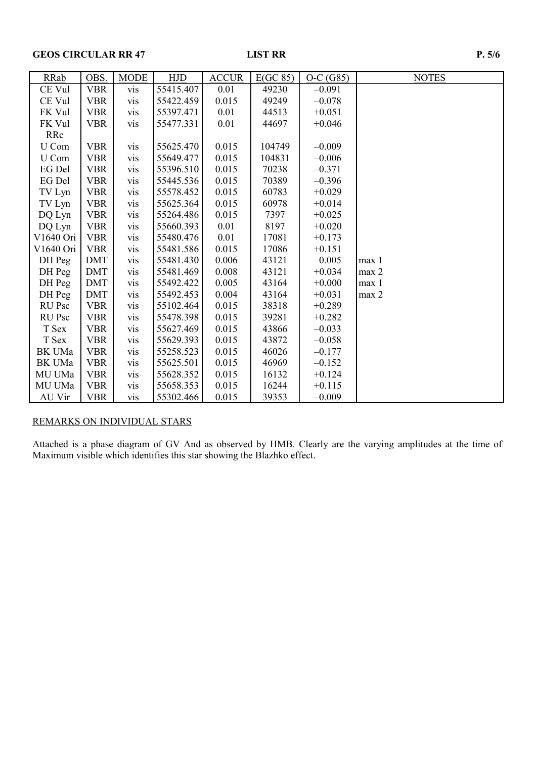# GEOS CIRCULAR RR 47 LIST RR P. 5/6

| <b>RRab</b>   | OBS.       | <b>MODE</b> | HJD       | <b>ACCUR</b> | E(GC 85) | $O-C(G85)$ | <b>NOTES</b>     |
|---------------|------------|-------------|-----------|--------------|----------|------------|------------------|
| CE Vul        | <b>VBR</b> | <b>vis</b>  | 55415.407 | 0.01         | 49230    | $-0.091$   |                  |
| CE Vul        | <b>VBR</b> | vis         | 55422.459 | 0.015        | 49249    | $-0.078$   |                  |
| FK Vul        | <b>VBR</b> | vis         | 55397.471 | 0.01         | 44513    | $+0.051$   |                  |
| FK Vul        | <b>VBR</b> | <b>vis</b>  | 55477.331 | 0.01         | 44697    | $+0.046$   |                  |
| RRc           |            |             |           |              |          |            |                  |
| U Com         | <b>VBR</b> | vis         | 55625.470 | 0.015        | 104749   | $-0.009$   |                  |
| U Com         | <b>VBR</b> | vis         | 55649.477 | 0.015        | 104831   | $-0.006$   |                  |
| EG Del        | <b>VBR</b> | vis         | 55396.510 | 0.015        | 70238    | $-0.371$   |                  |
| EG Del        | <b>VBR</b> | vis         | 55445.536 | 0.015        | 70389    | $-0.396$   |                  |
| TV Lyn        | <b>VBR</b> | vis         | 55578.452 | 0.015        | 60783    | $+0.029$   |                  |
| TV Lyn        | <b>VBR</b> | vis         | 55625.364 | 0.015        | 60978    | $+0.014$   |                  |
| DQ Lyn        | <b>VBR</b> | vis         | 55264.486 | 0.015        | 7397     | $+0.025$   |                  |
| DQ Lyn        | <b>VBR</b> | vis         | 55660.393 | 0.01         | 8197     | $+0.020$   |                  |
| V1640 Ori     | <b>VBR</b> | <b>vis</b>  | 55480.476 | 0.01         | 17081    | $+0.173$   |                  |
| V1640 Ori     | <b>VBR</b> | <b>vis</b>  | 55481.586 | 0.015        | 17086    | $+0.151$   |                  |
| DH Peg        | DMT        | <b>vis</b>  | 55481.430 | 0.006        | 43121    | $-0.005$   | max 1            |
| DH Peg        | <b>DMT</b> | <b>vis</b>  | 55481.469 | 0.008        | 43121    | $+0.034$   | max <sub>2</sub> |
| DH Peg        | <b>DMT</b> | vis         | 55492.422 | 0.005        | 43164    | $+0.000$   | max <sub>1</sub> |
| DH Peg        | <b>DMT</b> | vis         | 55492.453 | 0.004        | 43164    | $+0.031$   | max 2            |
| RU Psc        | <b>VBR</b> | vis         | 55102.464 | 0.015        | 38318    | $+0.289$   |                  |
| <b>RU</b> Psc | <b>VBR</b> | vis         | 55478.398 | 0.015        | 39281    | $+0.282$   |                  |
| T Sex         | <b>VBR</b> | vis         | 55627.469 | 0.015        | 43866    | $-0.033$   |                  |
| T Sex         | <b>VBR</b> | vis         | 55629.393 | 0.015        | 43872    | $-0.058$   |                  |
| <b>BK UMa</b> | <b>VBR</b> | vis         | 55258.523 | 0.015        | 46026    | $-0.177$   |                  |
| <b>BK UMa</b> | <b>VBR</b> | vis         | 55625.501 | 0.015        | 46969    | $-0.152$   |                  |
| MU UMa        | <b>VBR</b> | vis         | 55628.352 | 0.015        | 16132    | $+0.124$   |                  |
| MU UMa        | <b>VBR</b> | <b>vis</b>  | 55658.353 | 0.015        | 16244    | $+0.115$   |                  |
| AU Vir        | <b>VBR</b> | vis         | 55302.466 | 0.015        | 39353    | $-0.009$   |                  |

# REMARKS ON INDIVIDUAL STARS

Attached is a phase diagram of GV And as observed by HMB. Clearly are the varying amplitudes at the time of Maximum visible which identifies this star showing the Blazhko effect.